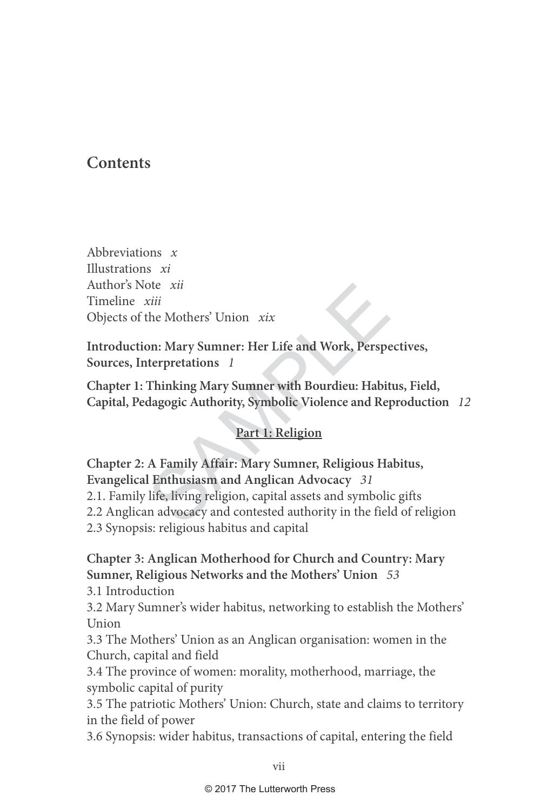## **Contents**

Abbreviations  $x$ Illustrations xi Author's Note xii Timeline xiii Objects of the Mothers' Union xix

**Introduction: Mary Sumner: Her Life and Work, Perspectives, Sources, Interpretations**  1

**Chapter 1: Thinking Mary Sumner with Bourdieu: Habitus, Field, Capital, Pedagogic Authority, Symbolic Violence and Reproduction** 12

### **Part 1: Religion**

Xiii<br>
Xiii<br>
the Mothers' Union Xix<br>
on: Mary Sumner: Her Life and Work, Perspe<br>
terpretations 1<br>
Thinking Mary Sumner with Bourdieu: Habit<br>
dagogic Authority, Symbolic Violence and Rep<br>
Part 1: Religion<br>
A Family Affair: M **Chapter 2: A Family Affair: Mary Sumner, Religious Habitus, Evangelical Enthusiasm and Anglican Advocacy** 31 2.1. Family life, living religion, capital assets and symbolic gifts

2.2 Anglican advocacy and contested authority in the field of religion

2.3 Synopsis: religious habitus and capital

## **Chapter 3: Anglican Motherhood for Church and Country: Mary Sumner, Religious Networks and the Mothers' Union** 53

3.1 Introduction

3.2 Mary Sumner's wider habitus, networking to establish the Mothers' Union

3.3 The Mothers' Union as an Anglican organisation: women in the Church, capital and field

3.4 The province of women: morality, motherhood, marriage, the symbolic capital of purity

3.5 The patriotic Mothers' Union: Church, state and claims to territory in the field of power

3.6 Synopsis: wider habitus, transactions of capital, entering the field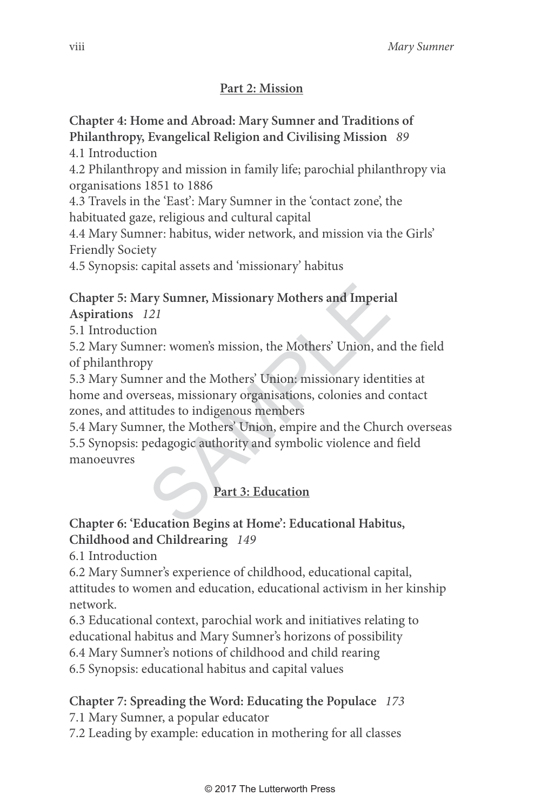#### **Part 2: Mission**

## **Chapter 4: Home and Abroad: Mary Sumner and Traditions of Philanthropy, Evangelical Religion and Civilising Mission** 89

4.1 Introduction

4.2 Philanthropy and mission in family life; parochial philanthropy via organisations 1851 to 1886

4.3 Travels in the 'East': Mary Sumner in the 'contact zone', the habituated gaze, religious and cultural capital

4.4 Mary Sumner: habitus, wider network, and mission via the Girls' Friendly Society

4.5 Synopsis: capital assets and 'missionary' habitus

#### **Chapter 5: Mary Sumner, Missionary Mothers and Imperial Aspirations** 121

5.1 Introduction

5.2 Mary Sumner: women's mission, the Mothers' Union, and the field of philanthropy

SAMPLE 5.3 Mary Sumner and the Mothers' Union: missionary identities at home and overseas, missionary organisations, colonies and contact zones, and attitudes to indigenous members

5.4 Mary Sumner, the Mothers' Union, empire and the Church overseas 5.5 Synopsis: pedagogic authority and symbolic violence and field manoeuvres

# Part 3: Education

#### **Chapter 6: 'Education Begins at Home': Educational Habitus, Childhood and Childrearing** 149

6.1 Introduction

6.2 Mary Sumner's experience of childhood, educational capital, attitudes to women and education, educational activism in her kinship network.

6.3 Educational context, parochial work and initiatives relating to educational habitus and Mary Sumner's horizons of possibility

6.4 Mary Sumner's notions of childhood and child rearing 6.5 Synopsis: educational habitus and capital values

## **Chapter 7: Spreading the Word: Educating the Populace** 173

7.1 Mary Sumner, a popular educator

7.2 Leading by example: education in mothering for all classes